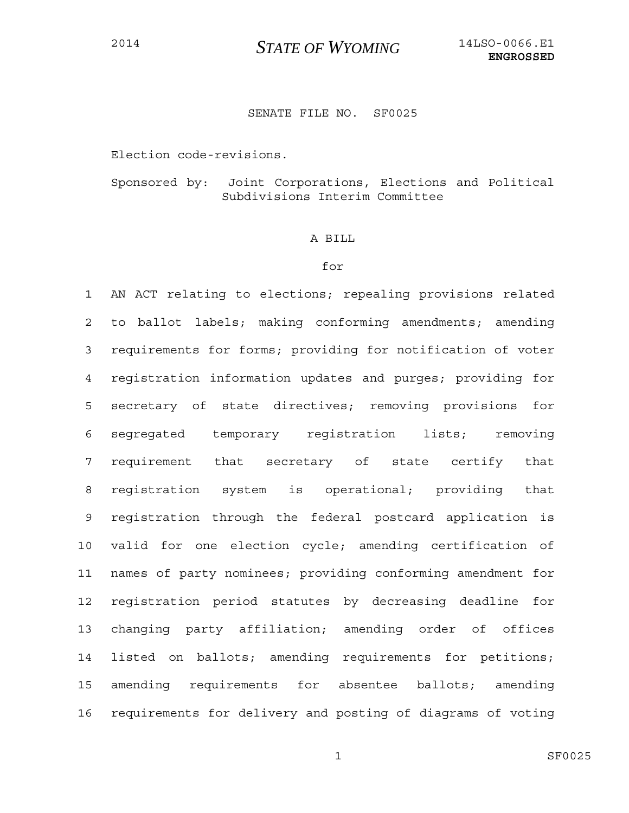## SENATE FILE NO. SF0025

Election code-revisions.

Sponsored by: Joint Corporations, Elections and Political Subdivisions Interim Committee

## A BILL

## for

1 AN ACT relating to elections; repealing provisions related 2 to ballot labels; making conforming amendments; amending 3 requirements for forms; providing for notification of voter 4 registration information updates and purges; providing for 5 secretary of state directives; removing provisions for 6 segregated temporary registration lists; removing 7 requirement that secretary of state certify that 8 registration system is operational; providing that 9 registration through the federal postcard application is 10 valid for one election cycle; amending certification of 11 names of party nominees; providing conforming amendment for 12 registration period statutes by decreasing deadline for 13 changing party affiliation; amending order of offices 14 listed on ballots; amending requirements for petitions; 15 amending requirements for absentee ballots; amending 16 requirements for delivery and posting of diagrams of voting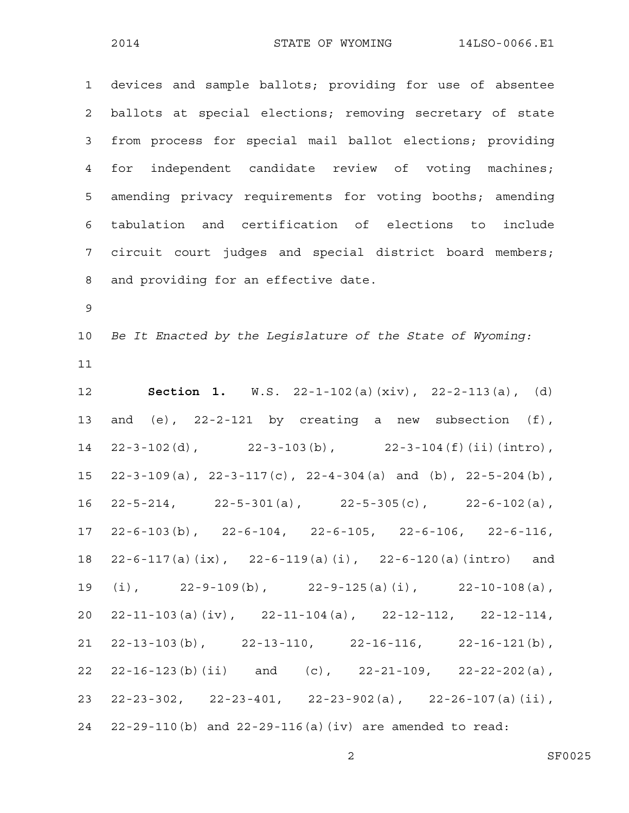1 devices and sample ballots; providing for use of absentee 2 ballots at special elections; removing secretary of state 3 from process for special mail ballot elections; providing 4 for independent candidate review of voting machines; 5 amending privacy requirements for voting booths; amending 6 tabulation and certification of elections to include 7 circuit court judges and special district board members; 8 and providing for an effective date.

9

10 *Be It Enacted by the Legislature of the State of Wyoming:* 11

12 **Section 1.** W.S. 22-1-102(a)(xiv), 22-2-113(a), (d) 13 and (e), 22-2-121 by creating a new subsection (f), 14 22-3-102(d), 22-3-103(b), 22-3-104(f)(ii)(intro), 15 22-3-109(a), 22-3-117(c), 22-4-304(a) and (b), 22-5-204(b), 16 22-5-214, 22-5-301(a), 22-5-305(c), 22-6-102(a), 17 22-6-103(b), 22-6-104, 22-6-105, 22-6-106, 22-6-116, 18 22-6-117(a)(ix), 22-6-119(a)(i), 22-6-120(a)(intro) and 19 (i), 22-9-109(b), 22-9-125(a)(i), 22-10-108(a), 20 22-11-103(a)(iv), 22-11-104(a), 22-12-112, 22-12-114, 21 22-13-103(b), 22-13-110, 22-16-116, 22-16-121(b), 22 22-16-123(b)(ii) and (c), 22-21-109, 22-22-202(a), 23 22-23-302, 22-23-401, 22-23-902(a), 22-26-107(a)(ii), 24 22-29-110(b) and 22-29-116(a)(iv) are amended to read: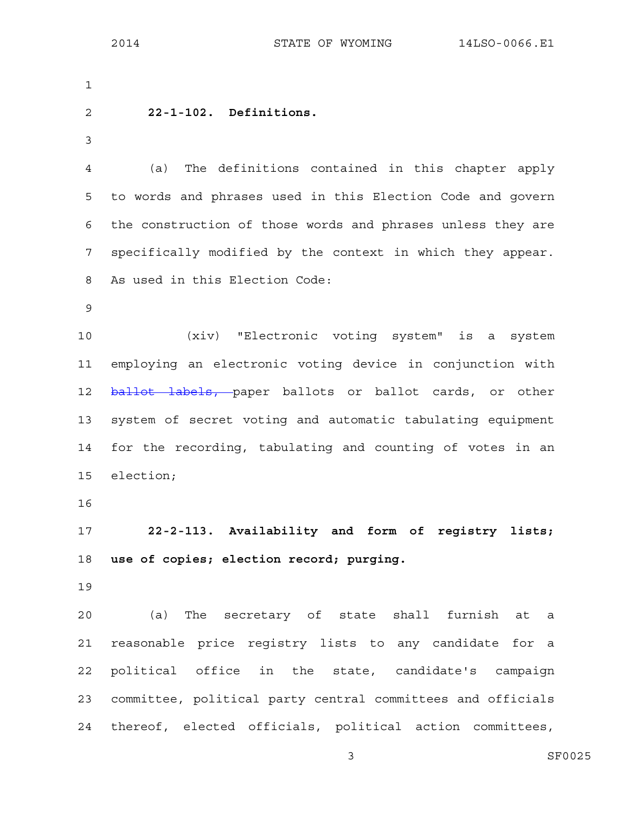| $\mathbf 1$    |                                                             |
|----------------|-------------------------------------------------------------|
| $\overline{c}$ | 22-1-102. Definitions.                                      |
| $\mathfrak{Z}$ |                                                             |
| 4              | The definitions contained in this chapter apply<br>(a)      |
| 5              | to words and phrases used in this Election Code and govern  |
| 6              | the construction of those words and phrases unless they are |
| 7              | specifically modified by the context in which they appear.  |
| 8              | As used in this Election Code:                              |
| 9              |                                                             |
| 10             | (xiv) "Electronic voting system" is a system                |
| 11             | employing an electronic voting device in conjunction with   |
| 12             | ballot labels, paper ballots or ballot cards, or other      |
| 13             | system of secret voting and automatic tabulating equipment  |
| 14             | for the recording, tabulating and counting of votes in an   |
| 15             | election;                                                   |
| 16             |                                                             |
| 17             | 22-2-113. Availability and form of registry lists;          |
| 18             | use of copies; election record; purging.                    |
| 19             |                                                             |
| 20             | (a) The secretary of state shall furnish<br>at a            |
| 21             | reasonable price registry lists to any candidate for a      |
| 22             | political office in the state, candidate's campaign         |
| 23             | committee, political party central committees and officials |
| 24             | thereof, elected officials, political action committees,    |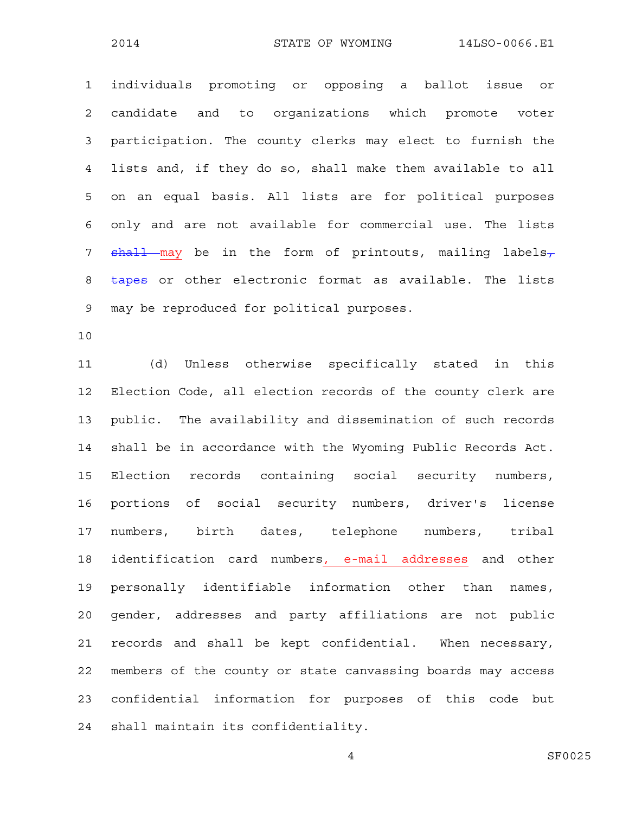1 individuals promoting or opposing a ballot issue or 2 candidate and to organizations which promote voter 3 participation. The county clerks may elect to furnish the 4 lists and, if they do so, shall make them available to all 5 on an equal basis. All lists are for political purposes 6 only and are not available for commercial use. The lists 7  $shall$  may be in the form of printouts, mailing labels-8 tapes or other electronic format as available. The lists 9 may be reproduced for political purposes.

10

11 (d) Unless otherwise specifically stated in this 12 Election Code, all election records of the county clerk are 13 public. The availability and dissemination of such records 14 shall be in accordance with the Wyoming Public Records Act. 15 Election records containing social security numbers, 16 portions of social security numbers, driver's license 17 numbers, birth dates, telephone numbers, tribal 18 identification card numbers, e-mail addresses and other 19 personally identifiable information other than names, 20 gender, addresses and party affiliations are not public 21 records and shall be kept confidential. When necessary, 22 members of the county or state canvassing boards may access 23 confidential information for purposes of this code but 24 shall maintain its confidentiality.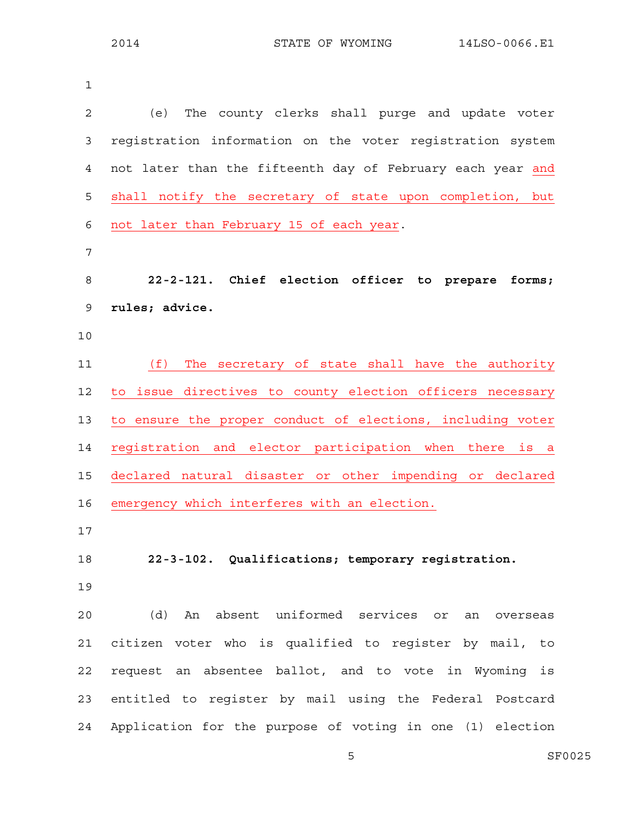| 1              |                                                            |
|----------------|------------------------------------------------------------|
| $\overline{2}$ | (e)<br>The county clerks shall purge and update voter      |
| 3              | registration information on the voter registration system  |
| 4              | not later than the fifteenth day of February each year and |
| 5              | shall notify the secretary of state upon completion, but   |
| 6              | not later than February 15 of each year.                   |
| 7              |                                                            |
| 8              | 22-2-121. Chief election officer to prepare<br>forms;      |
| 9              | rules; advice.                                             |
| 10             |                                                            |
| 11             | (f)<br>The secretary of state shall have the authority     |
| 12             | to issue directives to county election officers necessary  |
| 13             | to ensure the proper conduct of elections, including voter |
| 14             | registration and elector participation when there is a     |
| 15             | declared natural disaster or other impending or declared   |
| 16             | emergency which interferes with an election.               |
| 17             |                                                            |
| 18             | 22-3-102. Qualifications; temporary registration.          |
| 19             |                                                            |
| 20             | (d) An absent uniformed services or an overseas            |
| 21             | citizen voter who is qualified to register by mail, to     |
| 22             | request an absentee ballot, and to vote in Wyoming is      |
| 23             | entitled to register by mail using the Federal Postcard    |
| 24             | Application for the purpose of voting in one (1) election  |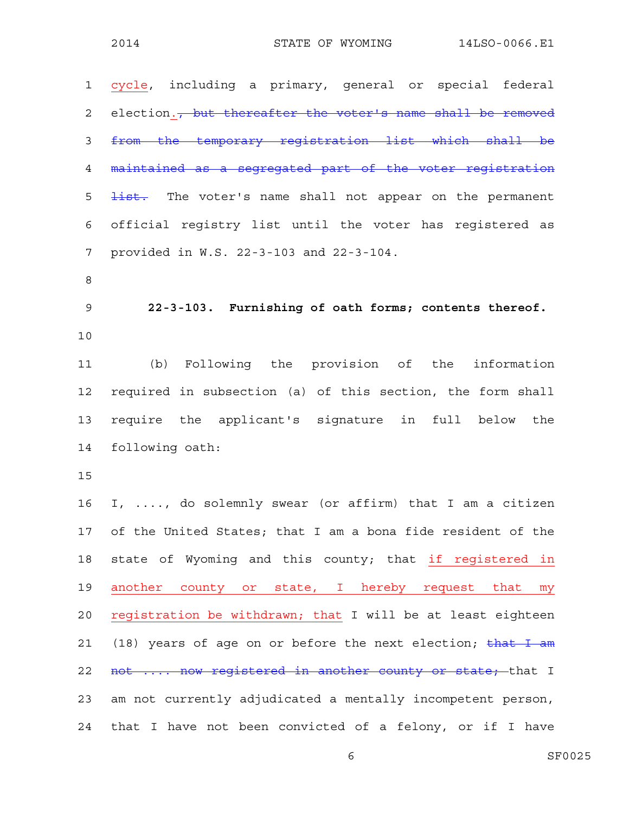| $\mathbf{1}$   | cycle, including a primary, general or special federal                  |
|----------------|-------------------------------------------------------------------------|
| 2              | election. <del>, but thereafter the voter's name shall be removed</del> |
| 3              | from the temporary registration list which shall be                     |
| 4              | maintained as a segregated part of the voter registration               |
| 5              | list. The voter's name shall not appear on the permanent                |
| 6              | official registry list until the voter has registered as                |
| 7              | provided in W.S. 22-3-103 and 22-3-104.                                 |
| 8              |                                                                         |
| $\overline{9}$ | 22-3-103. Furnishing of oath forms; contents thereof.                   |
| 10             |                                                                         |
| 11             | (b) Following the provision of the information                          |
| 12             | required in subsection (a) of this section, the form shall              |
| 13             | require the applicant's signature in full below the                     |
| 14             | following oath:                                                         |
| 15             |                                                                         |
| 16             | I, , do solemnly swear (or affirm) that I am a citizen                  |
|                | 17 of the United States; that I am a bona fide resident of the          |
| 18             | state of Wyoming and this county; that if registered in                 |
| 19             | another county or state, I hereby request that<br>my                    |
| 20             | registration be withdrawn; that I will be at least eighteen             |
| 21             | (18) years of age on or before the next election; $\frac{that I}{t}$ am |
| 22             | not  now registered in another county or state; that I                  |
| 23             | am not currently adjudicated a mentally incompetent person,             |
| 24             | that I have not been convicted of a felony, or if I have                |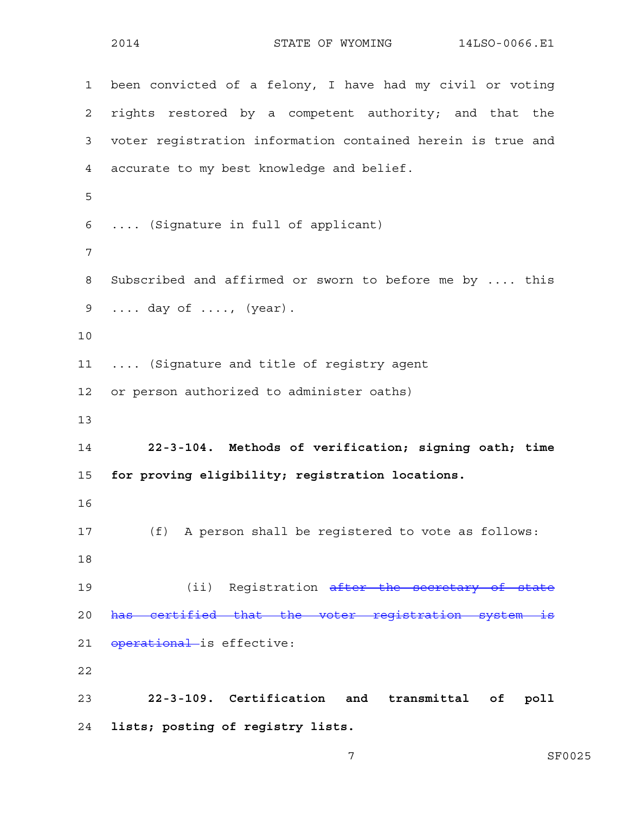1 been convicted of a felony, I have had my civil or voting 2 rights restored by a competent authority; and that the 3 voter registration information contained herein is true and 4 accurate to my best knowledge and belief. 5 6 .... (Signature in full of applicant) 7 8 Subscribed and affirmed or sworn to before me by .... this 9 .... day of ...., (year). 10 11 .... (Signature and title of registry agent 12 or person authorized to administer oaths) 13 14 **22-3-104. Methods of verification; signing oath; time**  15 **for proving eligibility; registration locations.**  16 17 (f) A person shall be registered to vote as follows: 18 19 (ii) Registration after the secretary of state 20 has certified that the voter registration system is 21 operational is effective: 22 23 **22-3-109. Certification and transmittal of poll**  24 **lists; posting of registry lists.**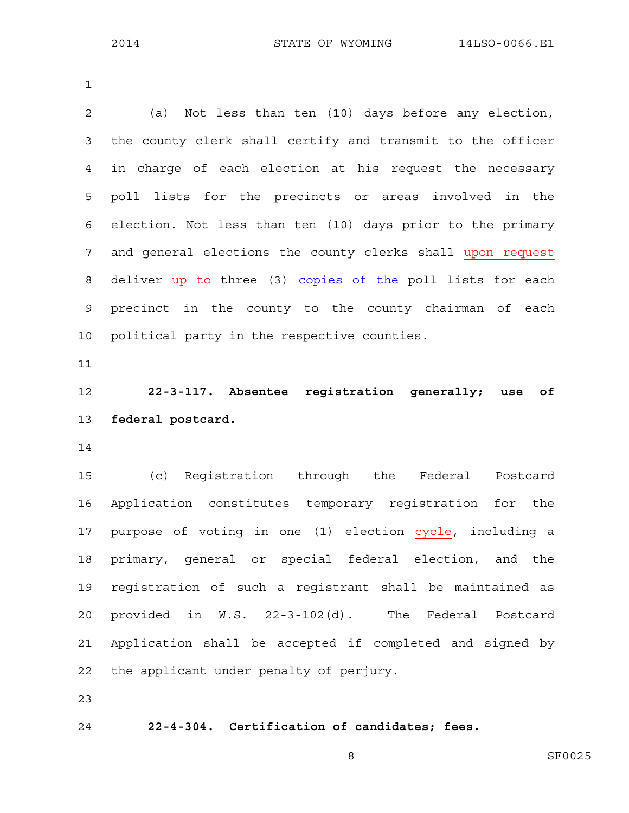1

2 (a) Not less than ten (10) days before any election, 3 the county clerk shall certify and transmit to the officer 4 in charge of each election at his request the necessary 5 poll lists for the precincts or areas involved in the 6 election. Not less than ten (10) days prior to the primary 7 and general elections the county clerks shall upon request 8 deliver up to three (3) copies of the poll lists for each 9 precinct in the county to the county chairman of each 10 political party in the respective counties. 11 12 **22-3-117. Absentee registration generally; use of**  13 **federal postcard.**  14 15 (c) Registration through the Federal Postcard 16 Application constitutes temporary registration for the 17 purpose of voting in one (1) election cycle, including a 18 primary, general or special federal election, and the 19 registration of such a registrant shall be maintained as 20 provided in W.S. 22-3-102(d). The Federal Postcard 21 Application shall be accepted if completed and signed by 22 the applicant under penalty of perjury. 23

24 **22-4-304. Certification of candidates; fees.**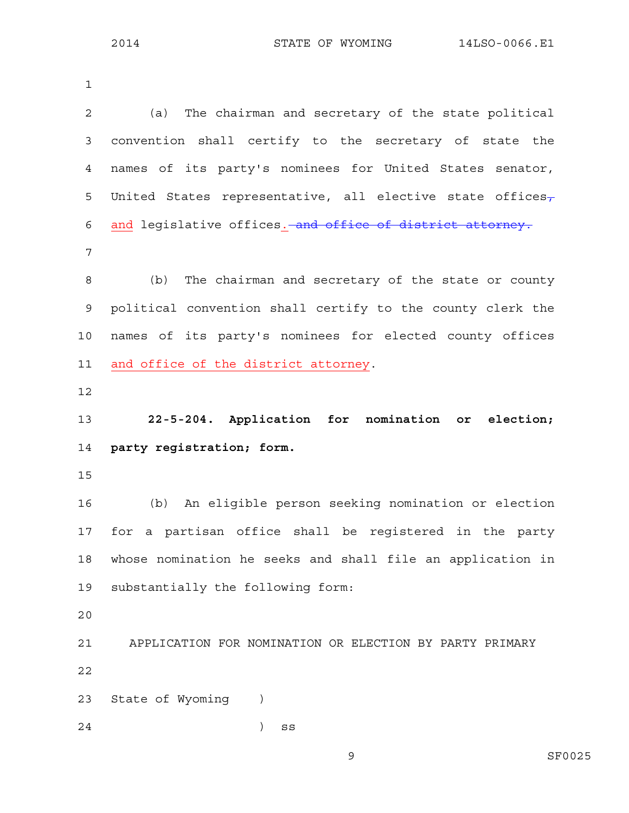1 2 (a) The chairman and secretary of the state political 3 convention shall certify to the secretary of state the 4 names of its party's nominees for United States senator, 5 United States representative, all elective state offices $\tau$ 6 and legislative offices. and office of district attorney. 7 8 (b) The chairman and secretary of the state or county 9 political convention shall certify to the county clerk the 10 names of its party's nominees for elected county offices 11 and office of the district attorney. 12 13 **22-5-204. Application for nomination or election;**  14 **party registration; form.**  15 16 (b) An eligible person seeking nomination or election 17 for a partisan office shall be registered in the party 18 whose nomination he seeks and shall file an application in 19 substantially the following form: 20 21 APPLICATION FOR NOMINATION OR ELECTION BY PARTY PRIMARY 22 23 State of Wyoming ) 24 ) ss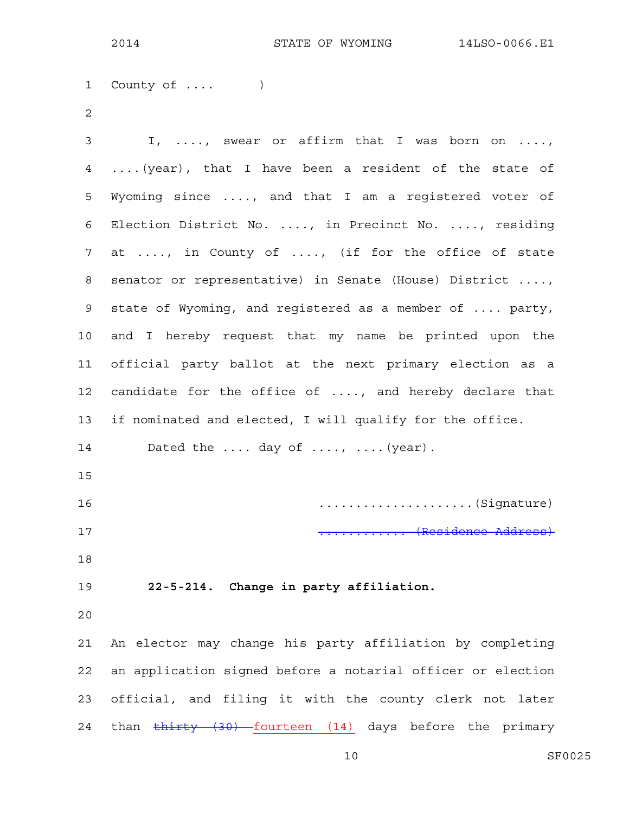1 County of .... ) 2 3 I, ...., swear or affirm that I was born on ...., 4 ....(year), that I have been a resident of the state of 5 Wyoming since ...., and that I am a registered voter of 6 Election District No. ...., in Precinct No. ...., residing 7 at ...., in County of ...., (if for the office of state 8 senator or representative) in Senate (House) District ...., 9 state of Wyoming, and registered as a member of .... party, 10 and I hereby request that my name be printed upon the 11 official party ballot at the next primary election as a 12 candidate for the office of ...., and hereby declare that 13 if nominated and elected, I will qualify for the office. 14 Dated the .... day of ...., .... (year). 15 16 .....................(Signature) 17 ............ (Residence Address) 18 19 **22-5-214. Change in party affiliation.**  20 21 An elector may change his party affiliation by completing 22 an application signed before a notarial officer or election 23 official, and filing it with the county clerk not later 24 than thirty (30) fourteen (14) days before the primary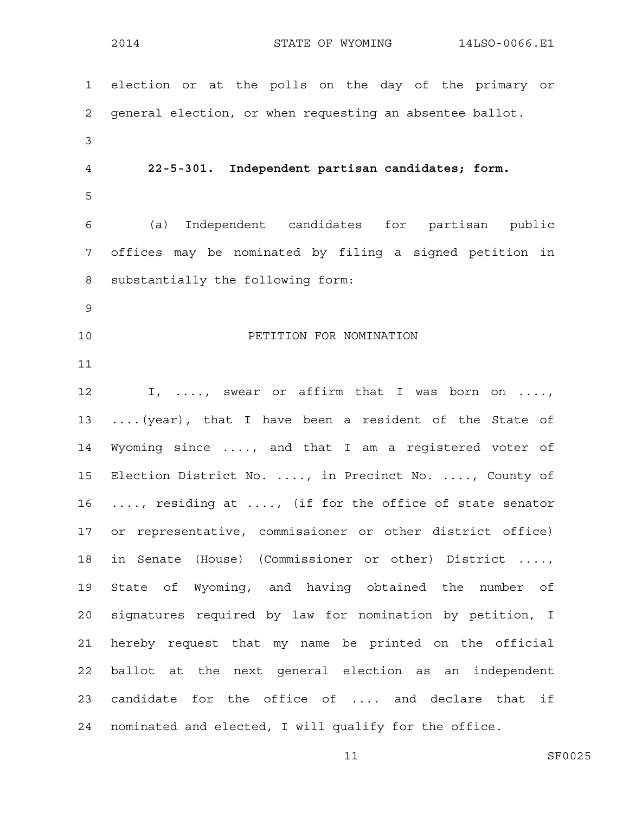1 election or at the polls on the day of the primary or 2 general election, or when requesting an absentee ballot. 3 4 **22-5-301. Independent partisan candidates; form.**  5 6 (a) Independent candidates for partisan public 7 offices may be nominated by filing a signed petition in 8 substantially the following form: 9 10 PETITION FOR NOMINATION 11 12 I, ..., swear or affirm that I was born on ...., 13 ....(year), that I have been a resident of the State of 14 Wyoming since ...., and that I am a registered voter of 15 Election District No. ...., in Precinct No. ...., County of 16 ...., residing at ...., (if for the office of state senator 17 or representative, commissioner or other district office) 18 in Senate (House) (Commissioner or other) District ...., 19 State of Wyoming, and having obtained the number of 20 signatures required by law for nomination by petition, I 21 hereby request that my name be printed on the official 22 ballot at the next general election as an independent 23 candidate for the office of .... and declare that if 24 nominated and elected, I will qualify for the office.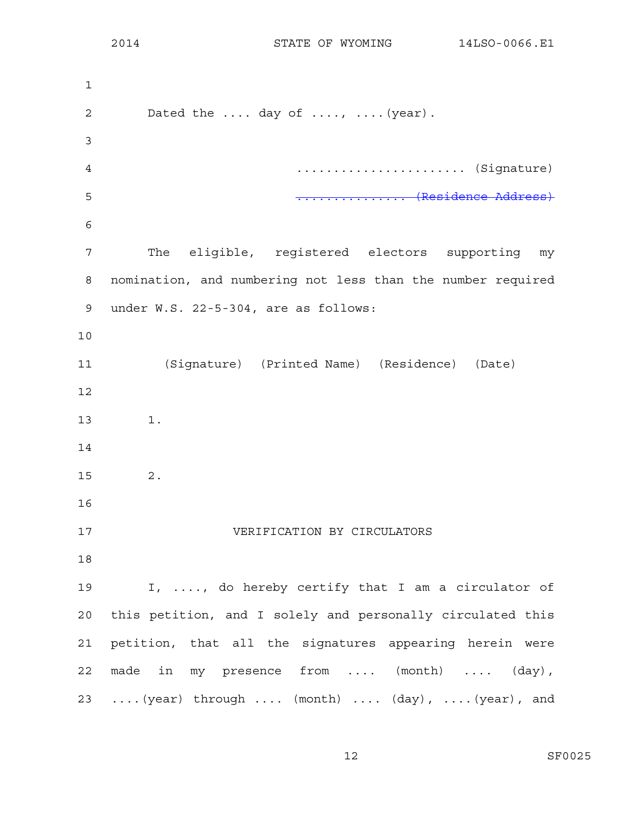1 2 Dated the .... day of ...., .... (year). 3 4 ....................... (Signature) 5 ............... (Residence Address) 6 7 The eligible, registered electors supporting my 8 nomination, and numbering not less than the number required 9 under W.S. 22-5-304, are as follows: 10 11 (Signature) (Printed Name) (Residence) (Date) 12 13 1. 14 15 2. 16 17 VERIFICATION BY CIRCULATORS 18 19 I, ...., do hereby certify that I am a circulator of 20 this petition, and I solely and personally circulated this 21 petition, that all the signatures appearing herein were 22 made in my presence from .... (month) .... (day), 23 ....(year) through .... (month) .... (day), ....(year), and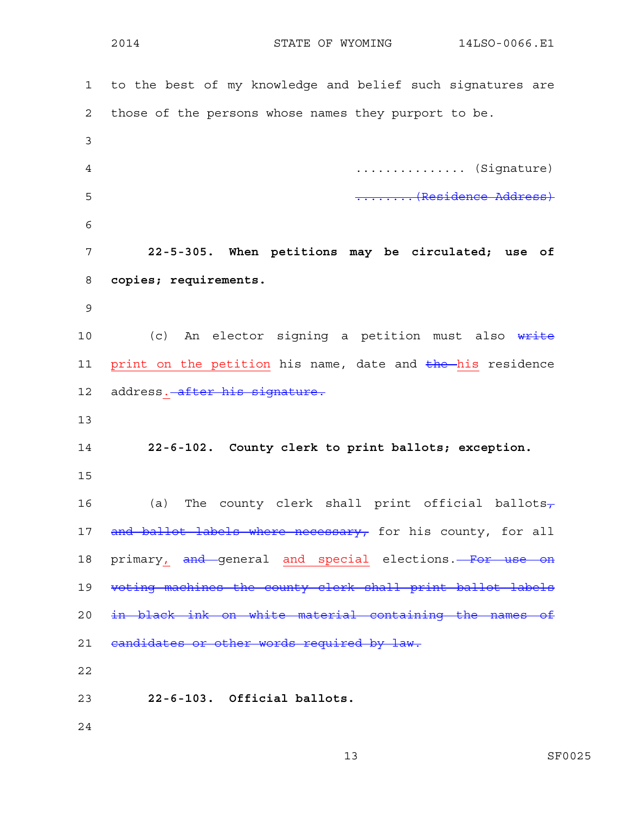| $\mathbf{1}$ | to the best of my knowledge and belief such signatures are |
|--------------|------------------------------------------------------------|
| $\mathbf{2}$ | those of the persons whose names they purport to be.       |
| 3            |                                                            |
| 4            | (Signature)                                                |
| 5            | Turnis (Residence Address)                                 |
| 6            |                                                            |
| 7            | 22-5-305. When petitions may be circulated; use of         |
| 8            | copies; requirements.                                      |
| 9            |                                                            |
| 10           | (c) An elector signing a petition must also write          |
| 11           | print on the petition his name, date and the his residence |
| 12           | address. after his signature.                              |
| 13           |                                                            |
| 14           | 22-6-102. County clerk to print ballots; exception.        |
| 15           |                                                            |
| 16           | (a) The county clerk shall print official ballots-         |
| 17           | and ballot labels where necessary, for his county, for all |
| 18           | primary, and general and special elections. For use on     |
| 19           | voting machines the county clerk shall print ballot labels |
| 20           | in black ink on white material containing the names of     |
| 21           | eandidates or other words required by law.                 |
| 22           |                                                            |
| 23           | 22-6-103. Official ballots.                                |
| 24           |                                                            |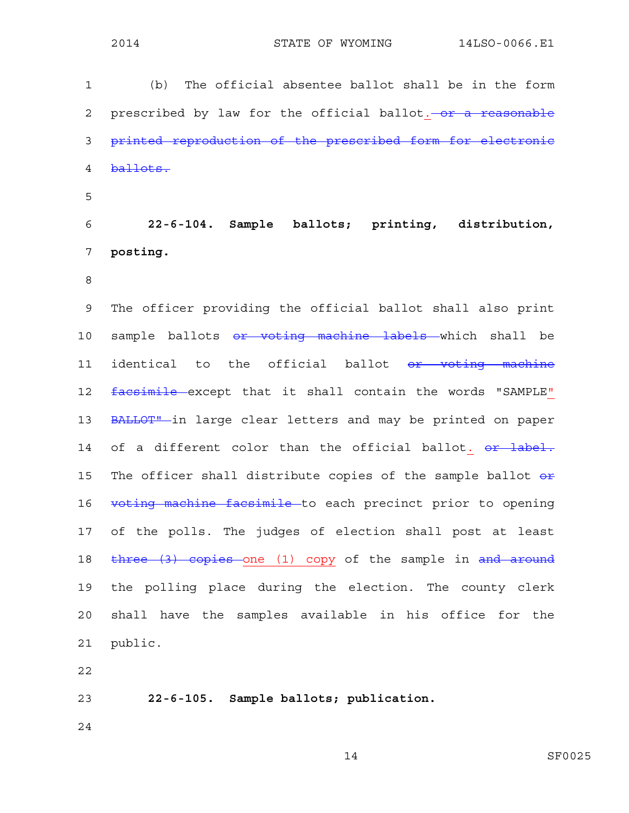1 (b) The official absentee ballot shall be in the form 2 prescribed by law for the official ballot. - or a reasonable 3 printed reproduction of the prescribed form for electronic 4 ballots. 5 6 **22-6-104. Sample ballots; printing, distribution,**  7 **posting.**  8 9 The officer providing the official ballot shall also print 10 sample ballots or voting machine labels which shall be 11 identical to the official ballot or voting machine 12 facsimile except that it shall contain the words "SAMPLE" 13 BALLOT" in large clear letters and may be printed on paper 14 of a different color than the official ballot. or label. 15 The officer shall distribute copies of the sample ballot  $e^x$ 16 voting machine facsimile to each precinct prior to opening 17 of the polls. The judges of election shall post at least 18 three (3) copies one (1) copy of the sample in and around 19 the polling place during the election. The county clerk 20 shall have the samples available in his office for the 21 public.

22

23 **22-6-105. Sample ballots; publication.** 

24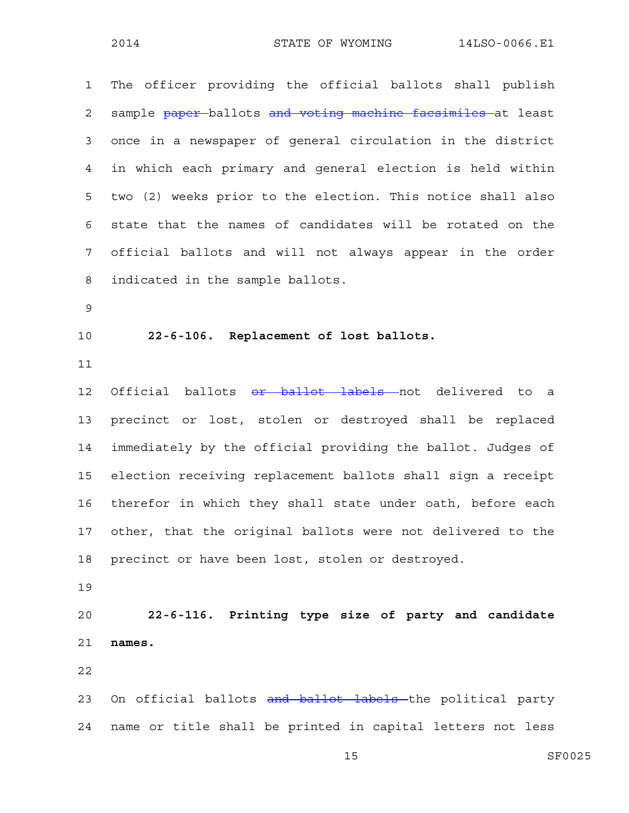1 The officer providing the official ballots shall publish 2 sample paper ballots and voting machine facsimiles at least 3 once in a newspaper of general circulation in the district 4 in which each primary and general election is held within 5 two (2) weeks prior to the election. This notice shall also 6 state that the names of candidates will be rotated on the 7 official ballots and will not always appear in the order 8 indicated in the sample ballots. 9 10 **22-6-106. Replacement of lost ballots.**  11 12 Official ballots or ballot labels not delivered to a 13 precinct or lost, stolen or destroyed shall be replaced 14 immediately by the official providing the ballot. Judges of 15 election receiving replacement ballots shall sign a receipt 16 therefor in which they shall state under oath, before each 17 other, that the original ballots were not delivered to the 18 precinct or have been lost, stolen or destroyed. 19 20 **22-6-116. Printing type size of party and candidate**  21 **names.**  22 23 On official ballots and ballot labels the political party

24 name or title shall be printed in capital letters not less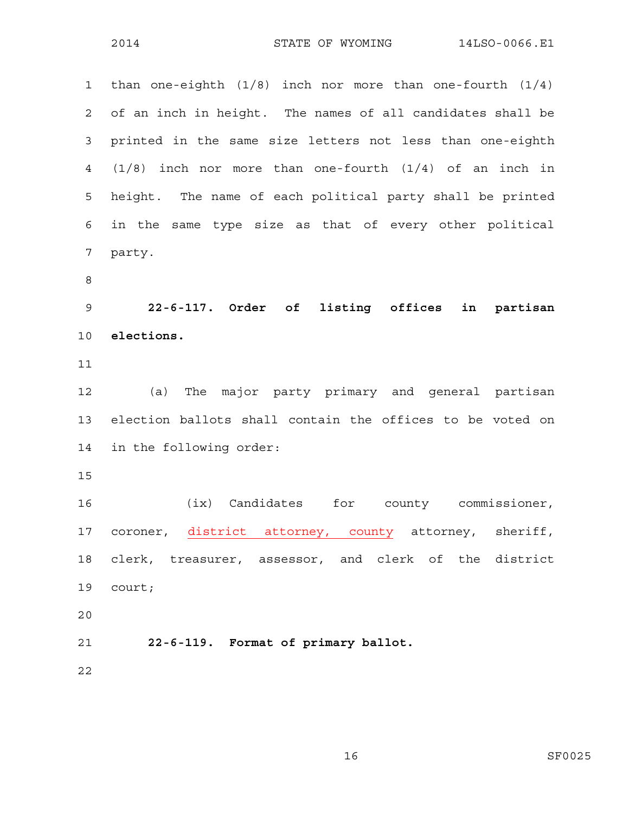1 than one-eighth (1/8) inch nor more than one-fourth (1/4) 2 of an inch in height. The names of all candidates shall be 3 printed in the same size letters not less than one-eighth 4 (1/8) inch nor more than one-fourth (1/4) of an inch in 5 height. The name of each political party shall be printed 6 in the same type size as that of every other political 7 party. 8 9 **22-6-117. Order of listing offices in partisan**  10 **elections.**  11 12 (a) The major party primary and general partisan 13 election ballots shall contain the offices to be voted on 14 in the following order: 15 16 (ix) Candidates for county commissioner, 17 coroner, district attorney, county attorney, sheriff, 18 clerk, treasurer, assessor, and clerk of the district 19 court; 20 21 **22-6-119. Format of primary ballot.**  22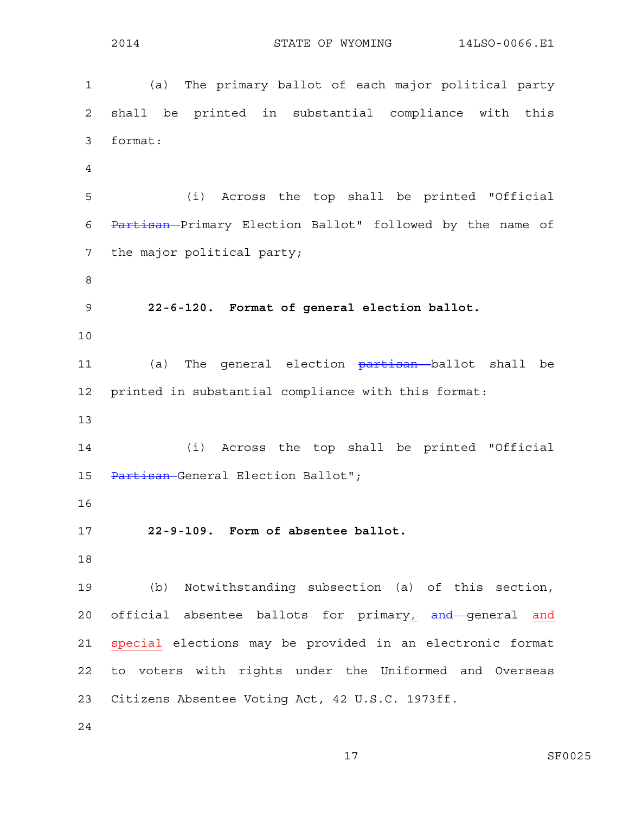1 (a) The primary ballot of each major political party 2 shall be printed in substantial compliance with this 3 format: 4 5 (i) Across the top shall be printed "Official 6 Partisan Primary Election Ballot" followed by the name of 7 the major political party; 8 9 **22-6-120. Format of general election ballot.**  10 11 (a) The general election partisan ballot shall be 12 printed in substantial compliance with this format: 13 14 (i) Across the top shall be printed "Official 15 Partisan General Election Ballot"; 16 17 **22-9-109. Form of absentee ballot.**  18 19 (b) Notwithstanding subsection (a) of this section, 20 official absentee ballots for primary, and general and 21 special elections may be provided in an electronic format 22 to voters with rights under the Uniformed and Overseas 23 Citizens Absentee Voting Act, 42 U.S.C. 1973ff. 24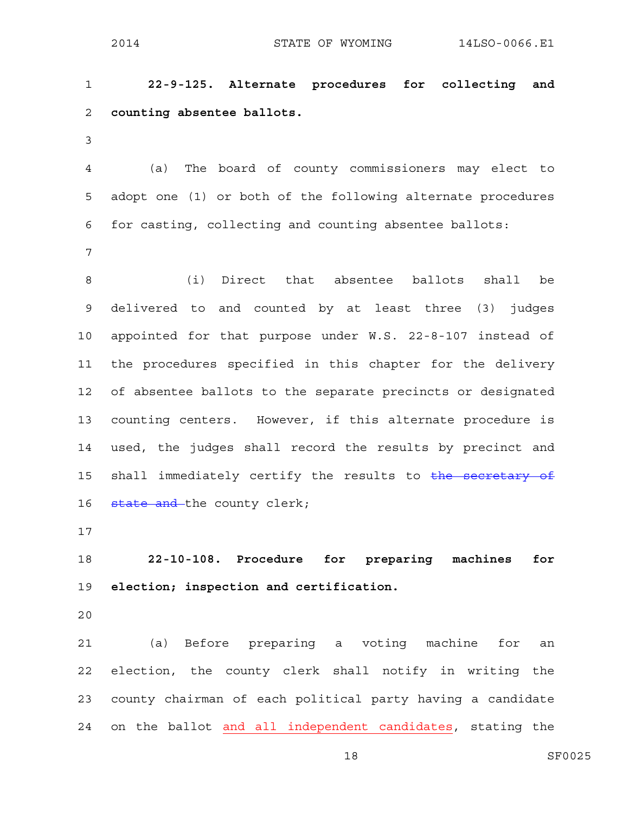1 **22-9-125. Alternate procedures for collecting and**  2 **counting absentee ballots.** 

3

4 (a) The board of county commissioners may elect to 5 adopt one (1) or both of the following alternate procedures 6 for casting, collecting and counting absentee ballots:

7

8 (i) Direct that absentee ballots shall be 9 delivered to and counted by at least three (3) judges 10 appointed for that purpose under W.S. 22-8-107 instead of 11 the procedures specified in this chapter for the delivery 12 of absentee ballots to the separate precincts or designated 13 counting centers. However, if this alternate procedure is 14 used, the judges shall record the results by precinct and 15 shall immediately certify the results to the secretary of 16 state and the county clerk;

17

18 **22-10-108. Procedure for preparing machines for**  19 **election; inspection and certification.** 

20

21 (a) Before preparing a voting machine for an 22 election, the county clerk shall notify in writing the 23 county chairman of each political party having a candidate 24 on the ballot and all independent candidates, stating the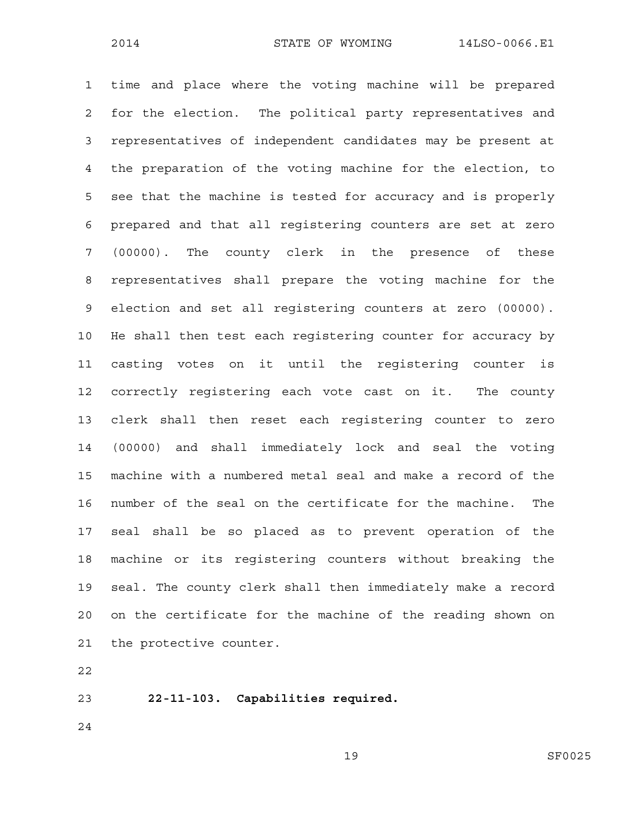1 time and place where the voting machine will be prepared 2 for the election. The political party representatives and 3 representatives of independent candidates may be present at 4 the preparation of the voting machine for the election, to 5 see that the machine is tested for accuracy and is properly 6 prepared and that all registering counters are set at zero 7 (00000). The county clerk in the presence of these 8 representatives shall prepare the voting machine for the 9 election and set all registering counters at zero (00000). 10 He shall then test each registering counter for accuracy by 11 casting votes on it until the registering counter is 12 correctly registering each vote cast on it. The county 13 clerk shall then reset each registering counter to zero 14 (00000) and shall immediately lock and seal the voting 15 machine with a numbered metal seal and make a record of the 16 number of the seal on the certificate for the machine. The 17 seal shall be so placed as to prevent operation of the 18 machine or its registering counters without breaking the 19 seal. The county clerk shall then immediately make a record 20 on the certificate for the machine of the reading shown on 21 the protective counter.

22

23 **22-11-103. Capabilities required.** 

24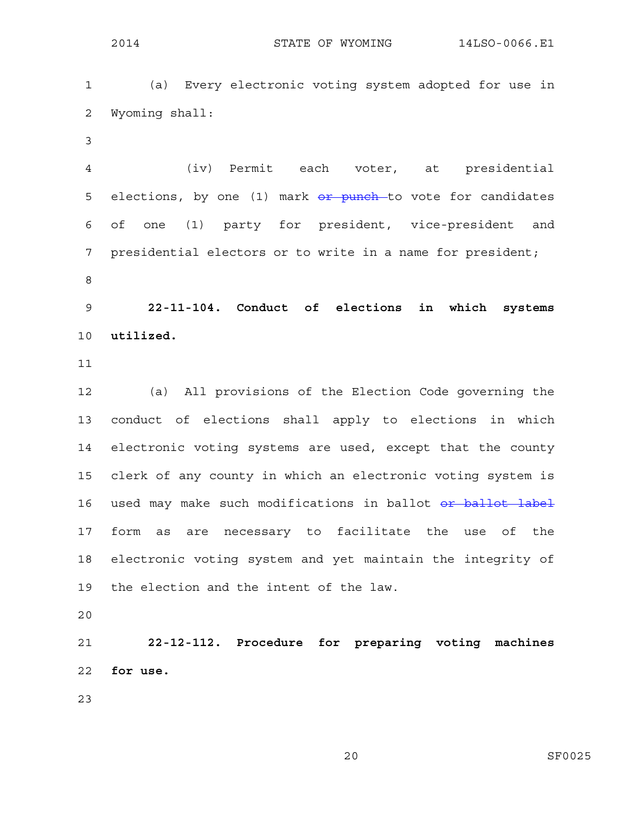1 (a) Every electronic voting system adopted for use in 2 Wyoming shall:

3

4 (iv) Permit each voter, at presidential 5 elections, by one  $(1)$  mark  $\theta$  punch to vote for candidates 6 of one (1) party for president, vice-president and 7 presidential electors or to write in a name for president; 8

9 **22-11-104. Conduct of elections in which systems**  10 **utilized.** 

11

12 (a) All provisions of the Election Code governing the 13 conduct of elections shall apply to elections in which 14 electronic voting systems are used, except that the county 15 clerk of any county in which an electronic voting system is 16 used may make such modifications in ballot or ballot label 17 form as are necessary to facilitate the use of the 18 electronic voting system and yet maintain the integrity of 19 the election and the intent of the law.

20

21 **22-12-112. Procedure for preparing voting machines**  22 **for use.** 

23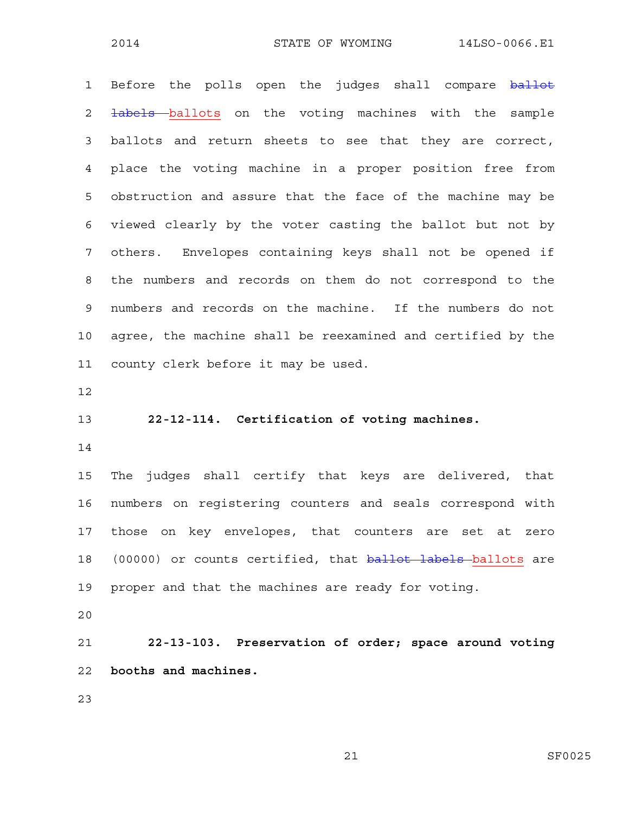1 Before the polls open the judges shall compare ballot 2 <del>labels b</del>allots on the voting machines with the sample 3 ballots and return sheets to see that they are correct, 4 place the voting machine in a proper position free from 5 obstruction and assure that the face of the machine may be 6 viewed clearly by the voter casting the ballot but not by 7 others. Envelopes containing keys shall not be opened if 8 the numbers and records on them do not correspond to the 9 numbers and records on the machine. If the numbers do not 10 agree, the machine shall be reexamined and certified by the 11 county clerk before it may be used.

12

13 **22-12-114. Certification of voting machines.** 

14

15 The judges shall certify that keys are delivered, that 16 numbers on registering counters and seals correspond with 17 those on key envelopes, that counters are set at zero 18 (00000) or counts certified, that **ballot labels** ballots are 19 proper and that the machines are ready for voting.

20

21 **22-13-103. Preservation of order; space around voting**  22 **booths and machines.** 

23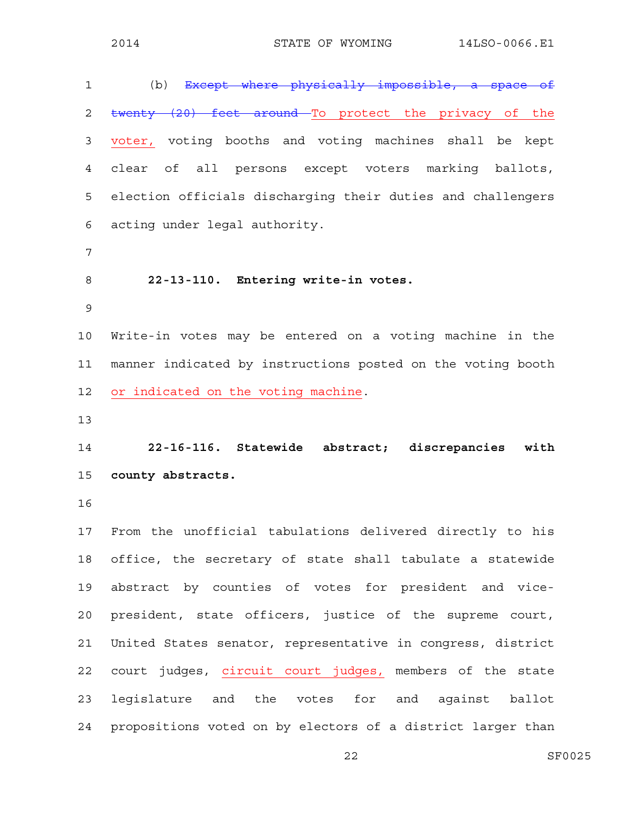| $\mathbf 1$    | (b) Except where physically impossible, a space of          |
|----------------|-------------------------------------------------------------|
| $\overline{2}$ | twenty (20) feet around To protect the privacy of the       |
| 3              | voter, voting booths and voting machines shall be kept      |
| 4              | of all persons except voters marking ballots,<br>clear      |
| 5              | election officials discharging their duties and challengers |
| 6              | acting under legal authority.                               |
| $\overline{7}$ |                                                             |
| 8              | 22-13-110. Entering write-in votes.                         |
| $\mathsf 9$    |                                                             |
| 10             | Write-in votes may be entered on a voting machine in the    |
| 11             | manner indicated by instructions posted on the voting booth |
| 12             | or indicated on the voting machine.                         |
| 13             |                                                             |
|                |                                                             |
| 14             | 22-16-116. Statewide abstract; discrepancies<br>with        |
| 15             | county abstracts.                                           |
| 16             |                                                             |
| 17             | From the unofficial tabulations delivered directly to his   |
| 18             | office, the secretary of state shall tabulate a statewide   |
| 19             | abstract by counties of votes for president and vice-       |
| 20             | president, state officers, justice of the supreme court,    |
| 21             | United States senator, representative in congress, district |
| 22             | court judges, circuit court judges, members of the state    |
| 23             | legislature and the votes for and against ballot            |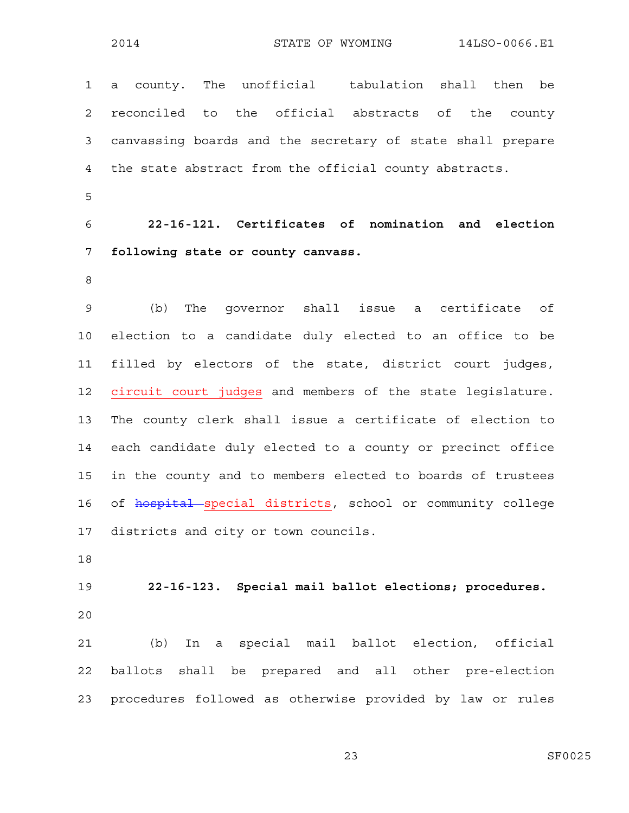1 a county. The unofficial tabulation shall then be 2 reconciled to the official abstracts of the county 3 canvassing boards and the secretary of state shall prepare 4 the state abstract from the official county abstracts.

5

6 **22-16-121. Certificates of nomination and election**  7 **following state or county canvass.** 

8

9 (b) The governor shall issue a certificate of 10 election to a candidate duly elected to an office to be 11 filled by electors of the state, district court judges, 12 circuit court judges and members of the state legislature. 13 The county clerk shall issue a certificate of election to 14 each candidate duly elected to a county or precinct office 15 in the county and to members elected to boards of trustees 16 of hospital special districts, school or community college 17 districts and city or town councils.

18

19 **22-16-123. Special mail ballot elections; procedures.**  20

21 (b) In a special mail ballot election, official 22 ballots shall be prepared and all other pre-election 23 procedures followed as otherwise provided by law or rules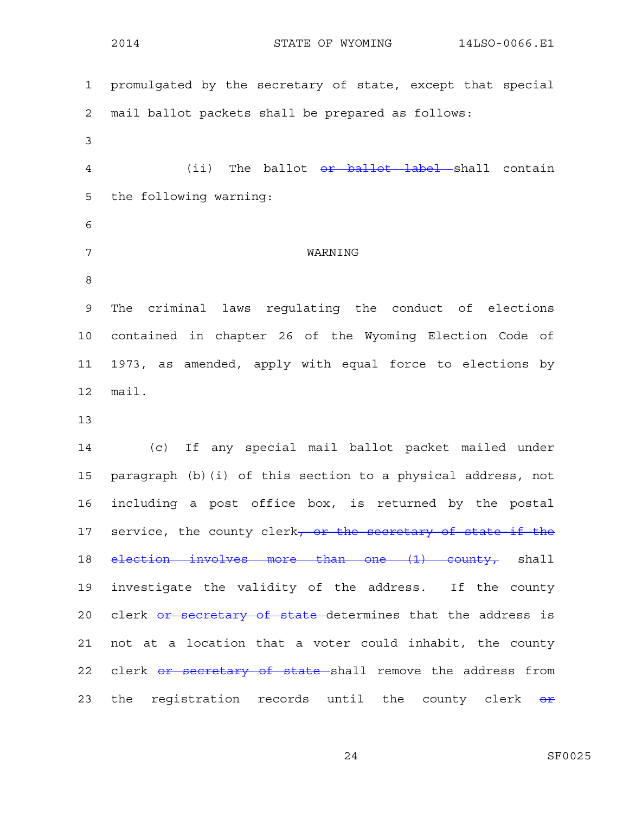2014 STATE OF WYOMING 14LSO-0066.E1 1 promulgated by the secretary of state, except that special 2 mail ballot packets shall be prepared as follows: 3 4 (ii) The ballot or ballot label shall contain 5 the following warning: 6 7 WARNING 8 9 The criminal laws regulating the conduct of elections 10 contained in chapter 26 of the Wyoming Election Code of 11 1973, as amended, apply with equal force to elections by 12 mail. 13 14 (c) If any special mail ballot packet mailed under 15 paragraph (b)(i) of this section to a physical address, not 16 including a post office box, is returned by the postal 17 service, the county clerk<del>, or the secretary of state if the</del> 18 election involves more than one (1) county, shall 19 investigate the validity of the address. If the county 20 clerk or secretary of state determines that the address is 21 not at a location that a voter could inhabit, the county 22 clerk or secretary of state shall remove the address from 23 the registration records until the county clerk or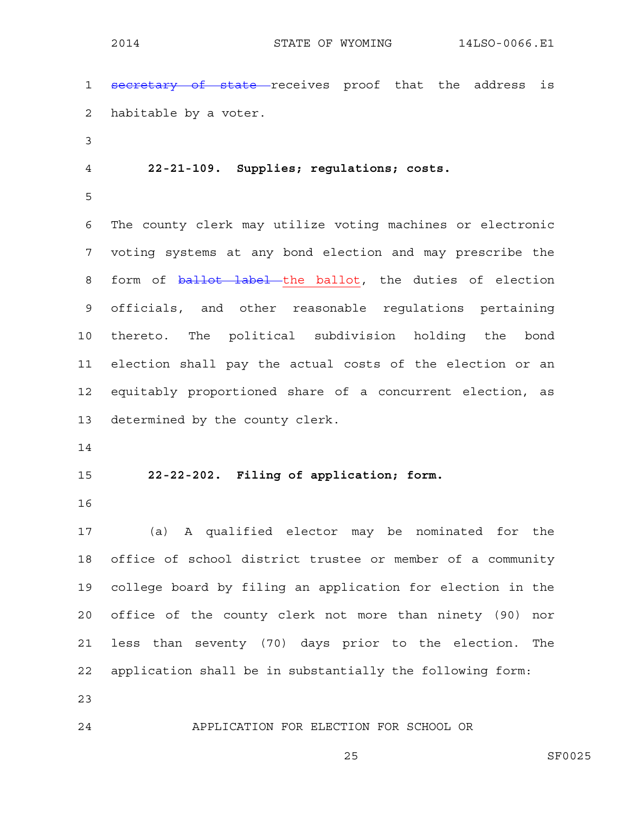1 secretary of state receives proof that the address is 2 habitable by a voter.

3

4 **22-21-109. Supplies; regulations; costs.** 

5

6 The county clerk may utilize voting machines or electronic 7 voting systems at any bond election and may prescribe the 8 form of ballot label the ballot, the duties of election 9 officials, and other reasonable regulations pertaining 10 thereto. The political subdivision holding the bond 11 election shall pay the actual costs of the election or an 12 equitably proportioned share of a concurrent election, as 13 determined by the county clerk.

14

15 **22-22-202. Filing of application; form.** 

16

17 (a) A qualified elector may be nominated for the 18 office of school district trustee or member of a community 19 college board by filing an application for election in the 20 office of the county clerk not more than ninety (90) nor 21 less than seventy (70) days prior to the election. The 22 application shall be in substantially the following form:

23

24 APPLICATION FOR ELECTION FOR SCHOOL OR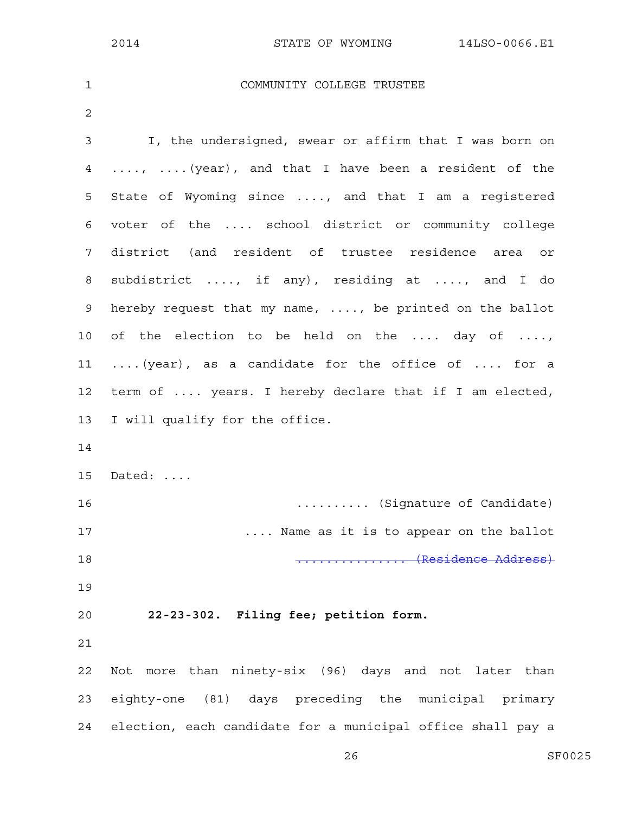| $\mathbf 1$  | COMMUNITY COLLEGE TRUSTEE                                   |
|--------------|-------------------------------------------------------------|
| $\mathbf{2}$ |                                                             |
| 3            | I, the undersigned, swear or affirm that I was born on      |
| 4            | ,  (year), and that I have been a resident of the           |
| 5            | State of Wyoming since , and that I am a registered         |
| 6            | voter of the  school district or community college          |
| 7            | district (and resident of trustee residence area or         |
| 8            | subdistrict , if any), residing at , and I do               |
| 9            | hereby request that my name, , be printed on the ballot     |
| 10           | of the election to be held on the  day of ,                 |
| 11           | (year), as a candidate for the office of  for a             |
| 12           | term of  years. I hereby declare that if I am elected,      |
| 13           | I will qualify for the office.                              |
| 14           |                                                             |
| 15           | Dated:                                                      |
| 16           | (Signature of Candidate)                                    |
| 17           | Name as it is to appear on the ballot                       |
| 18           | (Residence Address)                                         |
| 19           |                                                             |
| 20           | 22-23-302. Filing fee; petition form.                       |
| 21           |                                                             |
| 22           | Not more than ninety-six (96) days and not later than       |
| 23           | eighty-one (81) days preceding the municipal primary        |
| 24           | election, each candidate for a municipal office shall pay a |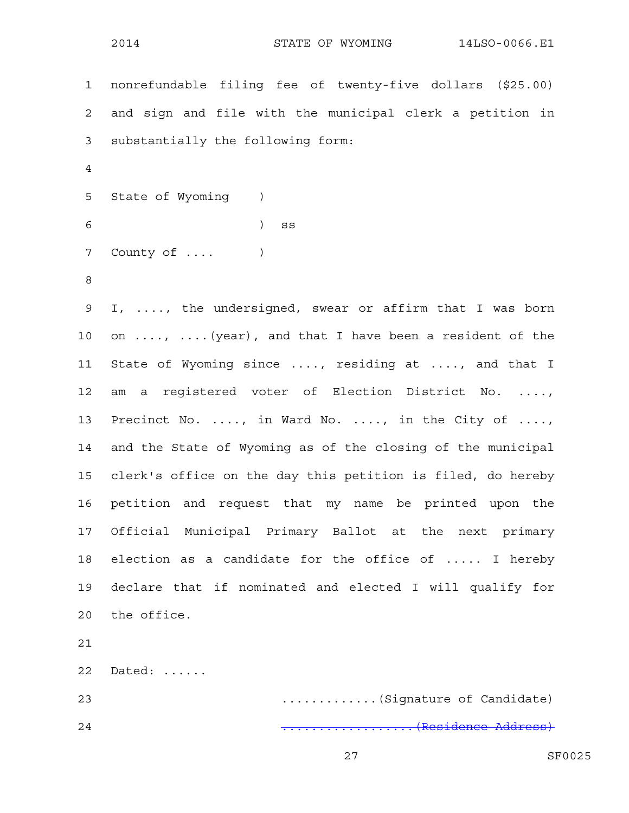|                 | 2014<br>STATE OF WYOMING<br>14LSO-0066.E1                          |
|-----------------|--------------------------------------------------------------------|
| $\mathbf{1}$    | nonrefundable filing fee of twenty-five dollars (\$25.00)          |
|                 |                                                                    |
| $\overline{2}$  | and sign and file with the municipal clerk a petition in           |
| 3               | substantially the following form:                                  |
| 4               |                                                                    |
| 5               | State of Wyoming<br>$\left( \begin{array}{cc} \end{array} \right)$ |
| 6               | $\left( \right)$<br>SS                                             |
| 7               | County of                                                          |
| $\,8\,$         |                                                                    |
| 9               | I, , the undersigned, swear or affirm that I was born              |
| 10              | on ,  (year), and that I have been a resident of the               |
| 11              | State of Wyoming since , residing at , and that I                  |
| 12              | am a registered voter of Election District No. ,                   |
| 13              | Precinct No. , in Ward No. , in the City of ,                      |
| 14              | and the State of Wyoming as of the closing of the municipal        |
| 15 <sub>1</sub> | clerk's office on the day this petition is filed, do hereby        |
| 16              | petition and request that my name be printed upon the              |
| 17              | Official Municipal Primary Ballot at the next primary              |
| 18              | election as a candidate for the office of  I hereby                |
| 19              | declare that if nominated and elected I will qualify for           |
| 20              | the office.                                                        |
| 21              |                                                                    |
| 22              | Dated:                                                             |
| 23              | (Signature of Candidate)                                           |
| 24              | (Residence Address)                                                |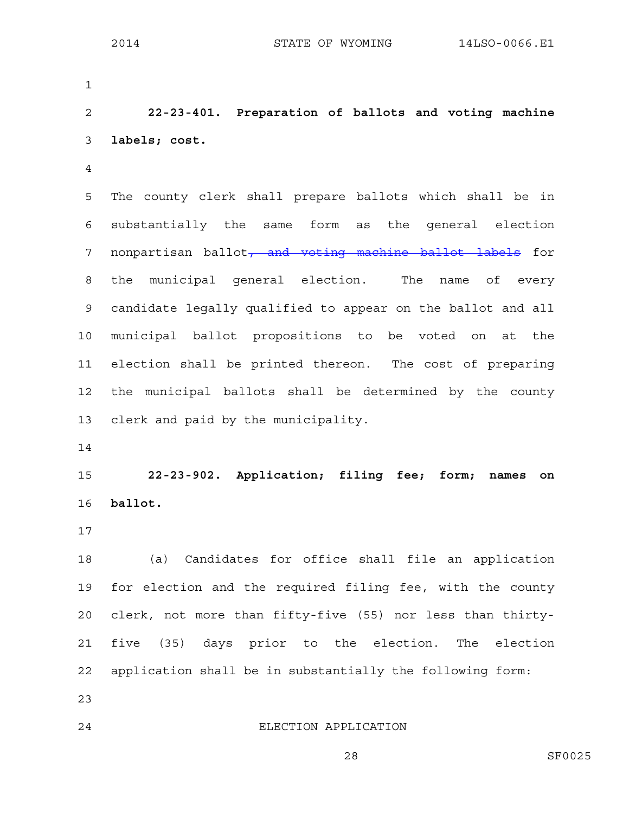1 2 **22-23-401. Preparation of ballots and voting machine**  3 **labels; cost.**  4 5 The county clerk shall prepare ballots which shall be in 6 substantially the same form as the general election 7 nonpartisan ballot<del>, and voting machine ballot labels</del> for 8 the municipal general election. The name of every 9 candidate legally qualified to appear on the ballot and all 10 municipal ballot propositions to be voted on at the 11 election shall be printed thereon. The cost of preparing 12 the municipal ballots shall be determined by the county 13 clerk and paid by the municipality. 14 15 **22-23-902. Application; filing fee; form; names on**  16 **ballot.**  17 18 (a) Candidates for office shall file an application 19 for election and the required filing fee, with the county 20 clerk, not more than fifty-five (55) nor less than thirty-

22 application shall be in substantially the following form:

21 five (35) days prior to the election. The election

- 23
- 

24 ELECTION APPLICATION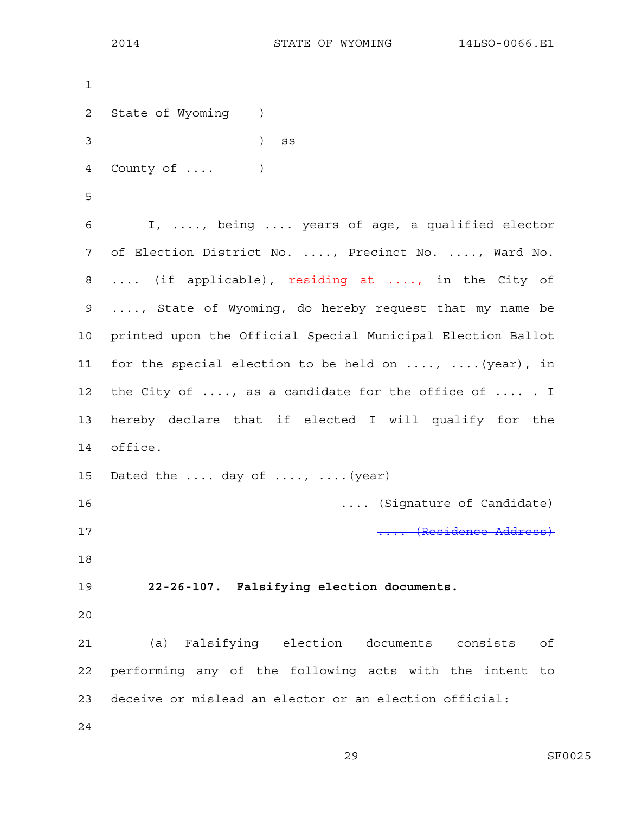```
1 
2 State of Wyoming ) 
3 ) ss
4 County of .... ) 
5 
6 I, ...., being .... years of age, a qualified elector 
7 of Election District No. ...., Precinct No. ...., Ward No. 
8 .... (if applicable), residing at ...., in the City of 
9 ...., State of Wyoming, do hereby request that my name be 
10 printed upon the Official Special Municipal Election Ballot 
11 for the special election to be held on ...., ....(year), in 
12 the City of ...., as a candidate for the office of .... . I
13 hereby declare that if elected I will qualify for the 
14 office. 
15 Dated the .... day of ...., .... (year)
16 .... (Signature of Candidate) 
17 .... (Residence Address)
18 
19 22-26-107. Falsifying election documents. 
20 
21 (a) Falsifying election documents consists of 
22 performing any of the following acts with the intent to 
23 deceive or mislead an elector or an election official: 
24
```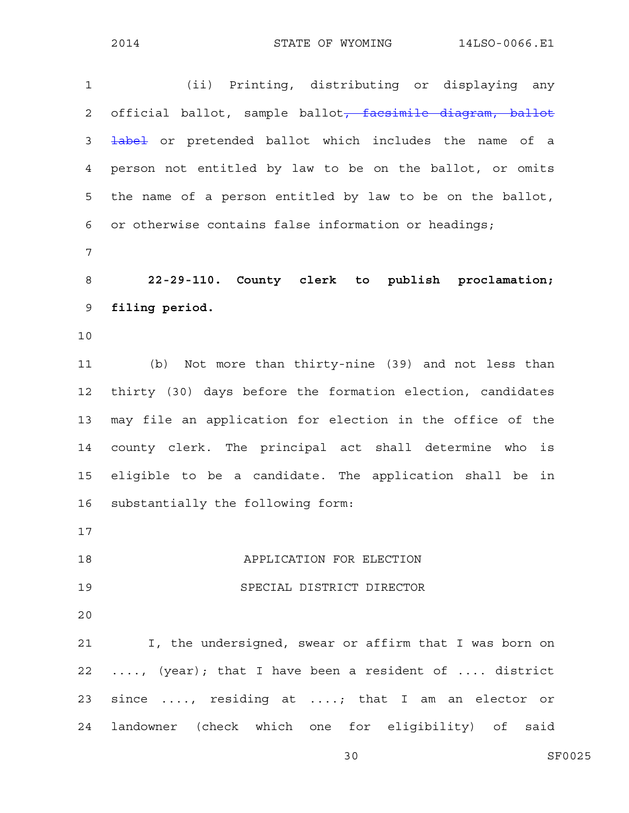1 (ii) Printing, distributing or displaying any 2 official ballot, sample ballot<del>, facsimile diagram, ballot</del> 3 **label** or pretended ballot which includes the name of a 4 person not entitled by law to be on the ballot, or omits 5 the name of a person entitled by law to be on the ballot, 6 or otherwise contains false information or headings; 7 8 **22-29-110. County clerk to publish proclamation;**  9 **filing period.**  10 11 (b) Not more than thirty-nine (39) and not less than 12 thirty (30) days before the formation election, candidates 13 may file an application for election in the office of the 14 county clerk. The principal act shall determine who is 15 eligible to be a candidate. The application shall be in 16 substantially the following form: 17 18 APPLICATION FOR ELECTION 19 SPECIAL DISTRICT DIRECTOR 20 21 I, the undersigned, swear or affirm that I was born on 22 ...., (year); that I have been a resident of .... district 23 since ...., residing at ....; that I am an elector or 24 landowner (check which one for eligibility) of said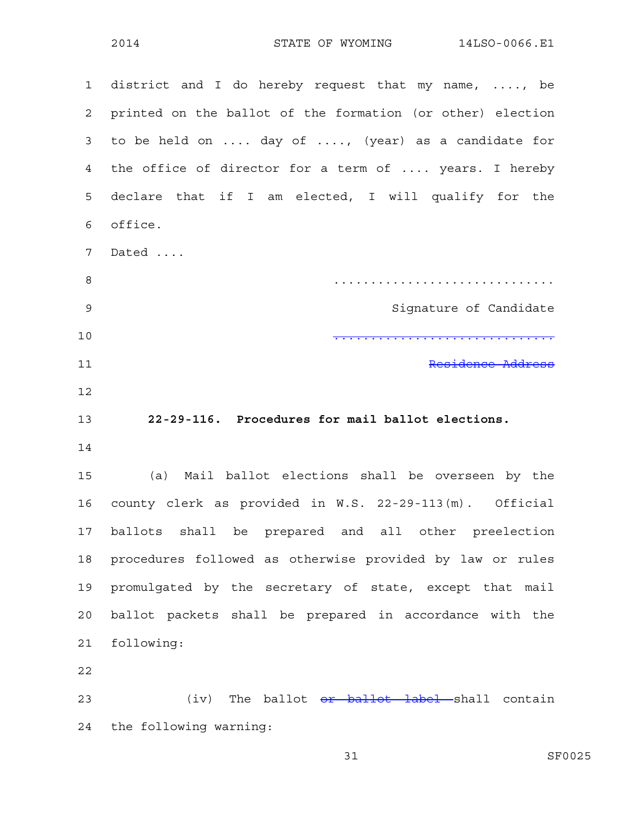1 district and I do hereby request that my name, ...., be 2 printed on the ballot of the formation (or other) election 3 to be held on .... day of ...., (year) as a candidate for 4 the office of director for a term of .... years. I hereby 5 declare that if I am elected, I will qualify for the 6 office. 7 Dated .... 8 .............................. 9 Signature of Candidate 10 .............................. 11 Residence Address 12 13 **22-29-116. Procedures for mail ballot elections.**  14 15 (a) Mail ballot elections shall be overseen by the 16 county clerk as provided in W.S. 22-29-113(m). Official 17 ballots shall be prepared and all other preelection 18 procedures followed as otherwise provided by law or rules 19 promulgated by the secretary of state, except that mail 20 ballot packets shall be prepared in accordance with the 21 following: 22 23 (iv) The ballot <del>or ballot label s</del>hall contain

24 the following warning: